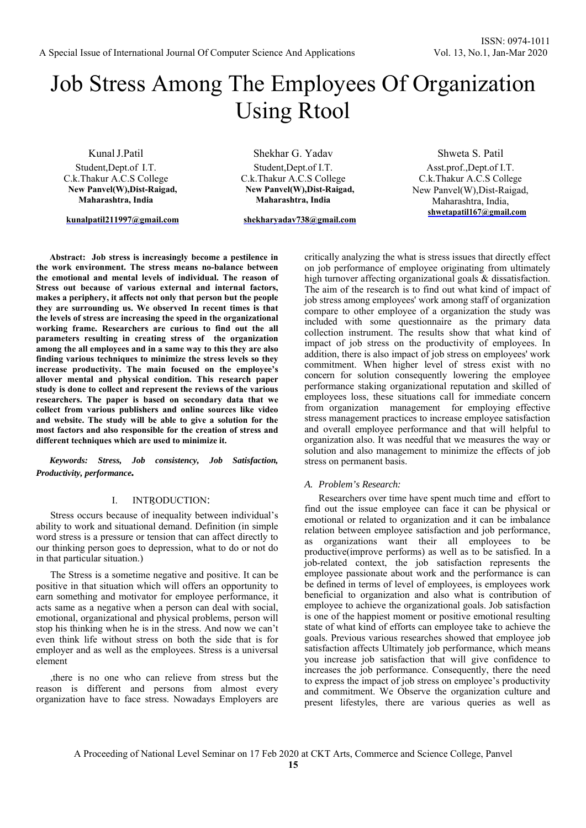# Job Stress Among The Employees Of Organization Using Rtool

Kunal J.Patil Student,Dept.of I.T. C.k.Thakur A.C.S College **New Panvel(W),Dist-Raigad, Maharashtra, India** 

**kunalpatil211997@gmail.com**

Shekhar G. Yadav Student,Dept.of I.T. C.k.Thakur A.C.S College **New Panvel(W),Dist-Raigad, Maharashtra, India** 

**shekharyadav738@gmail.com**

Shweta S. Patil Asst.prof.,Dept.of I.T. C.k.Thakur A.C.S College New Panvel(W),Dist-Raigad, Maharashtra, India, **shwetapatil167@gmail.com**

**Abstract: Job stress is increasingly become a pestilence in the work environment. The stress means no-balance between the emotional and mental levels of individual. The reason of Stress out because of various external and internal factors, makes a periphery, it affects not only that person but the people they are surrounding us. We observed In recent times is that the levels of stress are increasing the speed in the organizational working frame. Researchers are curious to find out the all parameters resulting in creating stress of the organization among the all employees and in a same way to this they are also finding various techniques to minimize the stress levels so they increase productivity. The main focused on the employee's allover mental and physical condition. This research paper study is done to collect and represent the reviews of the various researchers. The paper is based on secondary data that we collect from various publishers and online sources like video and website. The study will be able to give a solution for the most factors and also responsible for the creation of stress and different techniques which are used to minimize it.**

*Keywords: Stress, Job consistency, Job Satisfaction, Productivity, performance.* 

# I. INTRODUCTION:

Stress occurs because of inequality between individual's ability to work and situational demand. Definition (in simple word stress is a pressure or tension that can affect directly to our thinking person goes to depression, what to do or not do in that particular situation.)

The Stress is a sometime negative and positive. It can be positive in that situation which will offers an opportunity to earn something and motivator for employee performance, it acts same as a negative when a person can deal with social, emotional, organizational and physical problems, person will stop his thinking when he is in the stress. And now we can't even think life without stress on both the side that is for employer and as well as the employees. Stress is a universal element

,there is no one who can relieve from stress but the reason is different and persons from almost every organization have to face stress. Nowadays Employers are

critically analyzing the what is stress issues that directly effect on job performance of employee originating from ultimately high turnover affecting organizational goals & dissatisfaction. The aim of the research is to find out what kind of impact of job stress among employees' work among staff of organization compare to other employee of a organization the study was included with some questionnaire as the primary data collection instrument. The results show that what kind of impact of job stress on the productivity of employees. In addition, there is also impact of job stress on employees' work commitment. When higher level of stress exist with no concern for solution consequently lowering the employee performance staking organizational reputation and skilled of employees loss, these situations call for immediate concern from organization management for employing effective stress management practices to increase employee satisfaction and overall employee performance and that will helpful to organization also. It was needful that we measures the way or solution and also management to minimize the effects of job stress on permanent basis.

#### *A. Problem's Research:*

Researchers over time have spent much time and effort to find out the issue employee can face it can be physical or emotional or related to organization and it can be imbalance relation between employee satisfaction and job performance, as organizations want their all employees to be productive(improve performs) as well as to be satisfied. In a job-related context, the job satisfaction represents the employee passionate about work and the performance is can be defined in terms of level of employees, is employees work beneficial to organization and also what is contribution of employee to achieve the organizational goals. Job satisfaction is one of the happiest moment or positive emotional resulting state of what kind of efforts can employee take to achieve the goals. Previous various researches showed that employee job satisfaction affects Ultimately job performance, which means you increase job satisfaction that will give confidence to increases the job performance. Consequently, there the need to express the impact of job stress on employee's productivity and commitment. We Observe the organization culture and present lifestyles, there are various queries as well as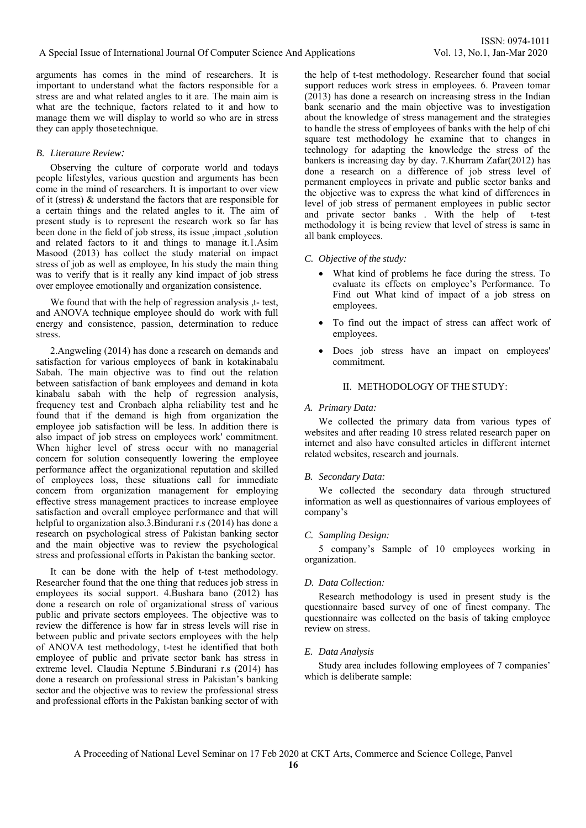arguments has comes in the mind of researchers. It is important to understand what the factors responsible for a stress are and what related angles to it are. The main aim is what are the technique, factors related to it and how to manage them we will display to world so who are in stress they can apply those technique.

# *B. Literature Review:*

Observing the culture of corporate world and todays people lifestyles, various question and arguments has been come in the mind of researchers. It is important to over view of it (stress) & understand the factors that are responsible for a certain things and the related angles to it. The aim of present study is to represent the research work so far has been done in the field of job stress, its issue ,impact ,solution and related factors to it and things to manage it.1.Asim Masood (2013) has collect the study material on impact stress of job as well as employee, In his study the main thing was to verify that is it really any kind impact of job stress over employee emotionally and organization consistence.

We found that with the help of regression analysis ,t- test, and ANOVA technique employee should do work with full energy and consistence, passion, determination to reduce stress.

2.Angweling (2014) has done a research on demands and satisfaction for various employees of bank in kotakinabalu Sabah. The main objective was to find out the relation between satisfaction of bank employees and demand in kota kinabalu sabah with the help of regression analysis, frequency test and Cronbach alpha reliability test and he found that if the demand is high from organization the employee job satisfaction will be less. In addition there is also impact of job stress on employees work' commitment. When higher level of stress occur with no managerial concern for solution consequently lowering the employee performance affect the organizational reputation and skilled of employees loss, these situations call for immediate concern from organization management for employing effective stress management practices to increase employee satisfaction and overall employee performance and that will helpful to organization also.3.Bindurani r.s (2014) has done a research on psychological stress of Pakistan banking sector and the main objective was to review the psychological stress and professional efforts in Pakistan the banking sector.

It can be done with the help of t-test methodology. Researcher found that the one thing that reduces job stress in employees its social support. 4.Bushara bano (2012) has done a research on role of organizational stress of various public and private sectors employees. The objective was to review the difference is how far in stress levels will rise in between public and private sectors employees with the help of ANOVA test methodology, t-test he identified that both employee of public and private sector bank has stress in extreme level. Claudia Neptune 5.Bindurani r.s (2014) has done a research on professional stress in Pakistan's banking sector and the objective was to review the professional stress and professional efforts in the Pakistan banking sector of with

the help of t-test methodology. Researcher found that social support reduces work stress in employees. 6. Praveen tomar (2013) has done a research on increasing stress in the Indian bank scenario and the main objective was to investigation about the knowledge of stress management and the strategies to handle the stress of employees of banks with the help of chi square test methodology he examine that to changes in technology for adapting the knowledge the stress of the bankers is increasing day by day. 7.Khurram Zafar(2012) has done a research on a difference of job stress level of permanent employees in private and public sector banks and the objective was to express the what kind of differences in level of job stress of permanent employees in public sector and private sector banks . With the help of t-test methodology it is being review that level of stress is same in all bank employees.

# *C. Objective of the study:*

- What kind of problems he face during the stress. To evaluate its effects on employee's Performance. To Find out What kind of impact of a job stress on employees.
- To find out the impact of stress can affect work of employees.
- Does job stress have an impact on employees' commitment.

# II. METHODOLOGY OF THE STUDY:

# *A. Primary Data:*

We collected the primary data from various types of websites and after reading 10 stress related research paper on internet and also have consulted articles in different internet related websites, research and journals.

## *B. Secondary Data:*

We collected the secondary data through structured information as well as questionnaires of various employees of company's

## *C. Sampling Design:*

5 company's Sample of 10 employees working in organization.

## *D. Data Collection:*

Research methodology is used in present study is the questionnaire based survey of one of finest company. The questionnaire was collected on the basis of taking employee review on stress.

## *E. Data Analysis*

Study area includes following employees of 7 companies' which is deliberate sample: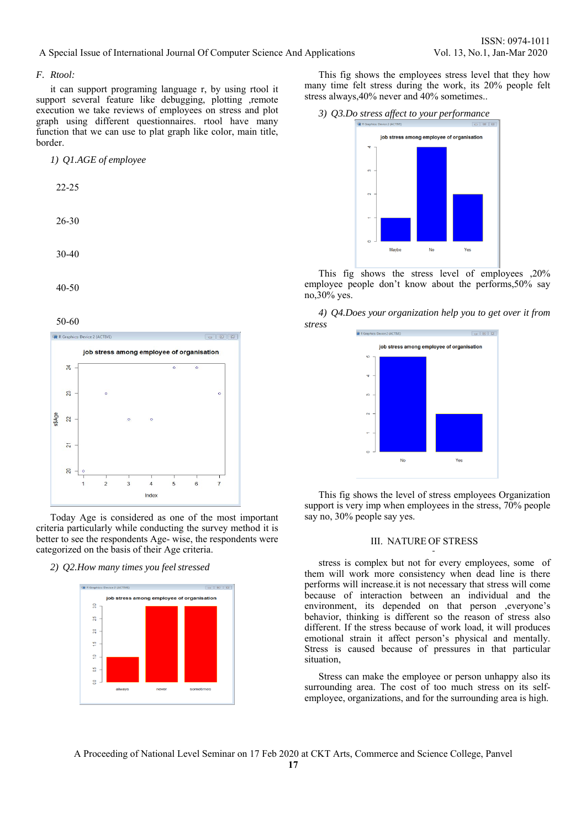## A Special Issue of International Journal Of Computer Science And Applications Vol. 13, No.1, Jan-Mar 2020

## *F. Rtool:*

it can support programing language r, by using rtool it support several feature like debugging, plotting ,remote execution we take reviews of employees on stress and plot graph using different questionnaires. rtool have many function that we can use to plat graph like color, main title, border.

| 1) Q1.AGE of employee |           |
|-----------------------|-----------|
|                       | $22 - 25$ |
|                       | $26 - 30$ |
|                       | 30-40     |
|                       | 40-50     |

50-60



Today Age is considered as one of the most important criteria particularly while conducting the survey method it is better to see the respondents Age- wise, the respondents were categorized on the basis of their Age criteria.

*2) Q2.How many times you feel stressed* 



This fig shows the employees stress level that they how many time felt stress during the work, its 20% people felt stress always,40% never and 40% sometimes..



This fig shows the stress level of employees ,20% employee people don't know about the performs,50% say no,30% yes.

*4) Q4.Does your organization help you to get over it from stress* 



This fig shows the level of stress employees Organization support is very imp when employees in the stress, 70% people say no, 30% people say yes.

## III. NATURE OF STRESS

stress is complex but not for every employees, some of them will work more consistency when dead line is there performs will increase.it is not necessary that stress will come because of interaction between an individual and the environment, its depended on that person ,everyone's behavior, thinking is different so the reason of stress also different. If the stress because of work load, it will produces emotional strain it affect person's physical and mentally. Stress is caused because of pressures in that particular situation,

Stress can make the employee or person unhappy also its surrounding area. The cost of too much stress on its selfemployee, organizations, and for the surrounding area is high.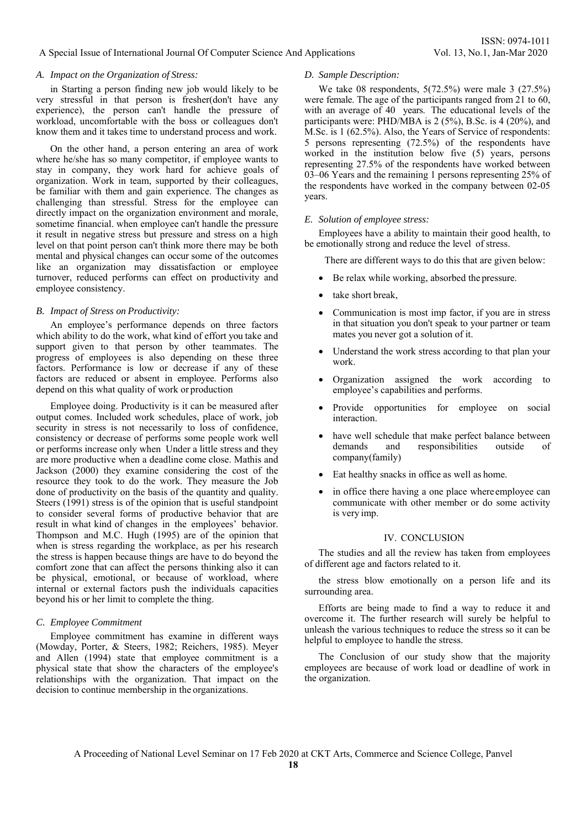## A Special Issue of International Journal Of Computer Science And Applications Vol. 13, No.1, Jan-Mar 2020

### *A. Impact on the Organization of Stress:*

in Starting a person finding new job would likely to be very stressful in that person is fresher(don't have any experience), the person can't handle the pressure of workload, uncomfortable with the boss or colleagues don't know them and it takes time to understand process and work.

On the other hand, a person entering an area of work where he/she has so many competitor, if employee wants to stay in company, they work hard for achieve goals of organization. Work in team, supported by their colleagues, be familiar with them and gain experience. The changes as challenging than stressful. Stress for the employee can directly impact on the organization environment and morale, sometime financial. when employee can't handle the pressure it result in negative stress but pressure and stress on a high level on that point person can't think more there may be both mental and physical changes can occur some of the outcomes like an organization may dissatisfaction or employee turnover, reduced performs can effect on productivity and employee consistency.

#### *B. Impact of Stress on Productivity:*

An employee's performance depends on three factors which ability to do the work, what kind of effort you take and support given to that person by other teammates. The progress of employees is also depending on these three factors. Performance is low or decrease if any of these factors are reduced or absent in employee. Performs also depend on this what quality of work or production

Employee doing. Productivity is it can be measured after output comes. Included work schedules, place of work, job security in stress is not necessarily to loss of confidence. consistency or decrease of performs some people work well or performs increase only when Under a little stress and they are more productive when a deadline come close. Mathis and Jackson (2000) they examine considering the cost of the resource they took to do the work. They measure the Job done of productivity on the basis of the quantity and quality. Steers (1991) stress is of the opinion that is useful standpoint to consider several forms of productive behavior that are result in what kind of changes in the employees' behavior. Thompson and M.C. Hugh (1995) are of the opinion that when is stress regarding the workplace, as per his research the stress is happen because things are have to do beyond the comfort zone that can affect the persons thinking also it can be physical, emotional, or because of workload, where internal or external factors push the individuals capacities beyond his or her limit to complete the thing.

#### *C. Employee Commitment*

Employee commitment has examine in different ways (Mowday, Porter, & Steers, 1982; Reichers, 1985). Meyer and Allen (1994) state that employee commitment is a physical state that show the characters of the employee's relationships with the organization. That impact on the decision to continue membership in the organizations.

#### *D. Sample Description:*

We take 08 respondents, 5(72.5%) were male 3 (27.5%) were female. The age of the participants ranged from 21 to 60, with an average of 40 years. The educational levels of the participants were: PHD/MBA is 2 (5%), B.Sc. is 4 (20%), and M.Sc. is 1 (62.5%). Also, the Years of Service of respondents: 5 persons representing (72.5%) of the respondents have worked in the institution below five (5) years, persons representing 27.5% of the respondents have worked between 03–06 Years and the remaining 1 persons representing 25% of the respondents have worked in the company between 02-05 years.

#### *E. Solution of employee stress:*

Employees have a ability to maintain their good health, to be emotionally strong and reduce the level of stress.

There are different ways to do this that are given below:

- Be relax while working, absorbed the pressure.
- take short break,
- Communication is most imp factor, if you are in stress in that situation you don't speak to your partner or team mates you never got a solution of it.
- Understand the work stress according to that plan your work.
- Organization assigned the work according to employee's capabilities and performs.
- Provide opportunities for employee on social interaction.
- have well schedule that make perfect balance between demands and responsibilities outside of company(family)
- Eat healthy snacks in office as well as home.
- in office there having a one place where employee can communicate with other member or do some activity is very imp.

## IV. CONCLUSION

The studies and all the review has taken from employees of different age and factors related to it.

the stress blow emotionally on a person life and its surrounding area.

Efforts are being made to find a way to reduce it and overcome it. The further research will surely be helpful to unleash the various techniques to reduce the stress so it can be helpful to employee to handle the stress.

The Conclusion of our study show that the majority employees are because of work load or deadline of work in the organization.